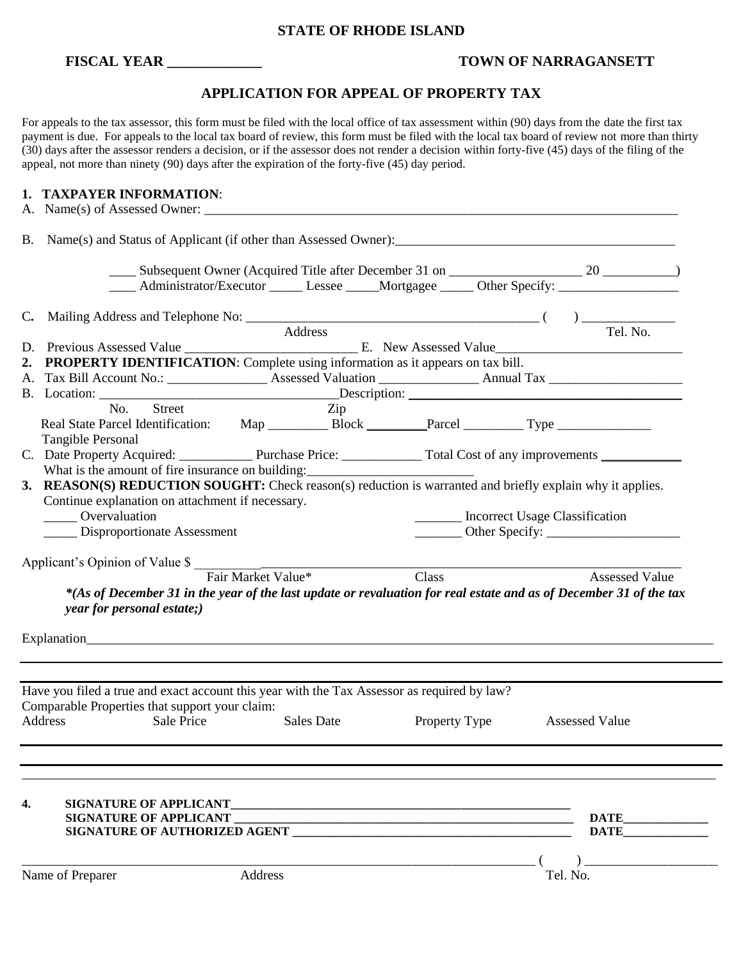### **STATE OF RHODE ISLAND**

## **FISCAL YEAR \_\_\_\_\_\_\_\_\_\_\_\_\_ TOWN OF NARRAGANSETT**

# **APPLICATION FOR APPEAL OF PROPERTY TAX**

For appeals to the tax assessor, this form must be filed with the local office of tax assessment within (90) days from the date the first tax payment is due. For appeals to the local tax board of review, this form must be filed with the local tax board of review not more than thirty (30) days after the assessor renders a decision, or if the assessor does not render a decision within forty-five (45) days of the filing of the appeal, not more than ninety (90) days after the expiration of the forty-five (45) day period.

## **1. TAXPAYER INFORMATION**:

|                                                                                                                                                                       | _____ Administrator/Executor ______ Lessee _____Mortgagee ______ Other Specify: ___________________                                |                                                  |                   |                                                                                                                                                                                                                                                                                                                                                                                                                                                                                                                                                    |                                |                       |  |  |  |  |
|-----------------------------------------------------------------------------------------------------------------------------------------------------------------------|------------------------------------------------------------------------------------------------------------------------------------|--------------------------------------------------|-------------------|----------------------------------------------------------------------------------------------------------------------------------------------------------------------------------------------------------------------------------------------------------------------------------------------------------------------------------------------------------------------------------------------------------------------------------------------------------------------------------------------------------------------------------------------------|--------------------------------|-----------------------|--|--|--|--|
|                                                                                                                                                                       |                                                                                                                                    |                                                  |                   |                                                                                                                                                                                                                                                                                                                                                                                                                                                                                                                                                    |                                |                       |  |  |  |  |
|                                                                                                                                                                       |                                                                                                                                    |                                                  | Address           |                                                                                                                                                                                                                                                                                                                                                                                                                                                                                                                                                    |                                | Tel. No.              |  |  |  |  |
|                                                                                                                                                                       |                                                                                                                                    |                                                  |                   |                                                                                                                                                                                                                                                                                                                                                                                                                                                                                                                                                    |                                |                       |  |  |  |  |
|                                                                                                                                                                       | PROPERTY IDENTIFICATION: Complete using information as it appears on tax bill.                                                     |                                                  |                   |                                                                                                                                                                                                                                                                                                                                                                                                                                                                                                                                                    |                                |                       |  |  |  |  |
|                                                                                                                                                                       |                                                                                                                                    |                                                  |                   |                                                                                                                                                                                                                                                                                                                                                                                                                                                                                                                                                    |                                |                       |  |  |  |  |
|                                                                                                                                                                       |                                                                                                                                    |                                                  |                   |                                                                                                                                                                                                                                                                                                                                                                                                                                                                                                                                                    |                                |                       |  |  |  |  |
|                                                                                                                                                                       | No. Street                                                                                                                         |                                                  | Zip               |                                                                                                                                                                                                                                                                                                                                                                                                                                                                                                                                                    |                                |                       |  |  |  |  |
|                                                                                                                                                                       |                                                                                                                                    |                                                  |                   |                                                                                                                                                                                                                                                                                                                                                                                                                                                                                                                                                    |                                |                       |  |  |  |  |
|                                                                                                                                                                       | Real State Parcel Identification: Map ___________ Block __________Parcel ____________Type ___________________<br>Tangible Personal |                                                  |                   |                                                                                                                                                                                                                                                                                                                                                                                                                                                                                                                                                    |                                |                       |  |  |  |  |
|                                                                                                                                                                       | C. Date Property Acquired: Purchase Price: Total Cost of any improvements                                                          |                                                  |                   |                                                                                                                                                                                                                                                                                                                                                                                                                                                                                                                                                    |                                |                       |  |  |  |  |
|                                                                                                                                                                       |                                                                                                                                    |                                                  |                   |                                                                                                                                                                                                                                                                                                                                                                                                                                                                                                                                                    |                                |                       |  |  |  |  |
| What is the amount of fire insurance on building:<br><b>3. REASON(S) REDUCTION SOUGHT:</b> Check reason(s) reduction is warranted and briefly explain why it applies. |                                                                                                                                    |                                                  |                   |                                                                                                                                                                                                                                                                                                                                                                                                                                                                                                                                                    |                                |                       |  |  |  |  |
|                                                                                                                                                                       |                                                                                                                                    | Continue explanation on attachment if necessary. |                   |                                                                                                                                                                                                                                                                                                                                                                                                                                                                                                                                                    |                                |                       |  |  |  |  |
|                                                                                                                                                                       | Overvaluation                                                                                                                      |                                                  |                   |                                                                                                                                                                                                                                                                                                                                                                                                                                                                                                                                                    | Incorrect Usage Classification |                       |  |  |  |  |
|                                                                                                                                                                       | Disproportionate Assessment                                                                                                        |                                                  |                   | $\frac{1}{\sqrt{1-\frac{1}{2}}}\text{Other Specify:}\frac{1}{\sqrt{1-\frac{1}{2}}}\text{ where }1\text{ is the same as }1\text{ and }2\text{ is the same as }1\text{ and }2\text{ is the same as }1\text{ and }2\text{ is the same as }1\text{ and }2\text{ is the same as }1\text{ and }2\text{ is the same as }1\text{ and }3\text{ is the same as }1\text{ and }3\text{ is the same as }1\text{ and }3\text{ is the same as }1\text{ and }3\text{ is the same as }1\text{ and }3\text{ is the same as }1\text{ and }3\text{ is the same as }1\$ |                                |                       |  |  |  |  |
|                                                                                                                                                                       |                                                                                                                                    |                                                  |                   |                                                                                                                                                                                                                                                                                                                                                                                                                                                                                                                                                    |                                |                       |  |  |  |  |
|                                                                                                                                                                       |                                                                                                                                    |                                                  |                   |                                                                                                                                                                                                                                                                                                                                                                                                                                                                                                                                                    |                                |                       |  |  |  |  |
|                                                                                                                                                                       | Applicant's Opinion of Value \$<br>Fair Market Value*                                                                              |                                                  |                   | Class                                                                                                                                                                                                                                                                                                                                                                                                                                                                                                                                              |                                | <b>Assessed Value</b> |  |  |  |  |
|                                                                                                                                                                       | *(As of December 31 in the year of the last update or revaluation for real estate and as of December 31 of the tax                 |                                                  |                   |                                                                                                                                                                                                                                                                                                                                                                                                                                                                                                                                                    |                                |                       |  |  |  |  |
|                                                                                                                                                                       | year for personal estate;)                                                                                                         |                                                  |                   |                                                                                                                                                                                                                                                                                                                                                                                                                                                                                                                                                    |                                |                       |  |  |  |  |
|                                                                                                                                                                       |                                                                                                                                    |                                                  |                   |                                                                                                                                                                                                                                                                                                                                                                                                                                                                                                                                                    |                                |                       |  |  |  |  |
|                                                                                                                                                                       |                                                                                                                                    |                                                  |                   |                                                                                                                                                                                                                                                                                                                                                                                                                                                                                                                                                    |                                |                       |  |  |  |  |
|                                                                                                                                                                       |                                                                                                                                    |                                                  |                   |                                                                                                                                                                                                                                                                                                                                                                                                                                                                                                                                                    |                                |                       |  |  |  |  |
|                                                                                                                                                                       |                                                                                                                                    |                                                  |                   |                                                                                                                                                                                                                                                                                                                                                                                                                                                                                                                                                    |                                |                       |  |  |  |  |
|                                                                                                                                                                       |                                                                                                                                    |                                                  |                   |                                                                                                                                                                                                                                                                                                                                                                                                                                                                                                                                                    |                                |                       |  |  |  |  |
|                                                                                                                                                                       | Have you filed a true and exact account this year with the Tax Assessor as required by law?                                        |                                                  |                   |                                                                                                                                                                                                                                                                                                                                                                                                                                                                                                                                                    |                                |                       |  |  |  |  |
|                                                                                                                                                                       | Comparable Properties that support your claim:                                                                                     |                                                  |                   |                                                                                                                                                                                                                                                                                                                                                                                                                                                                                                                                                    |                                |                       |  |  |  |  |
|                                                                                                                                                                       | Address<br>Sale Price                                                                                                              |                                                  | <b>Sales Date</b> | Property Type                                                                                                                                                                                                                                                                                                                                                                                                                                                                                                                                      |                                | <b>Assessed Value</b> |  |  |  |  |
|                                                                                                                                                                       |                                                                                                                                    |                                                  |                   |                                                                                                                                                                                                                                                                                                                                                                                                                                                                                                                                                    |                                |                       |  |  |  |  |
|                                                                                                                                                                       |                                                                                                                                    |                                                  |                   |                                                                                                                                                                                                                                                                                                                                                                                                                                                                                                                                                    |                                |                       |  |  |  |  |
|                                                                                                                                                                       |                                                                                                                                    |                                                  |                   |                                                                                                                                                                                                                                                                                                                                                                                                                                                                                                                                                    |                                |                       |  |  |  |  |
|                                                                                                                                                                       |                                                                                                                                    |                                                  |                   |                                                                                                                                                                                                                                                                                                                                                                                                                                                                                                                                                    |                                |                       |  |  |  |  |
| 4.                                                                                                                                                                    | <b>SIGNATURE OF APPLICANT</b>                                                                                                      |                                                  |                   |                                                                                                                                                                                                                                                                                                                                                                                                                                                                                                                                                    |                                |                       |  |  |  |  |
|                                                                                                                                                                       | <b>SIGNATURE OF APPLICANT</b>                                                                                                      |                                                  |                   |                                                                                                                                                                                                                                                                                                                                                                                                                                                                                                                                                    |                                |                       |  |  |  |  |
|                                                                                                                                                                       | SIGNATURE OF AUTHORIZED AGENT                                                                                                      |                                                  |                   |                                                                                                                                                                                                                                                                                                                                                                                                                                                                                                                                                    |                                | <b>DATE</b>           |  |  |  |  |
|                                                                                                                                                                       |                                                                                                                                    |                                                  |                   |                                                                                                                                                                                                                                                                                                                                                                                                                                                                                                                                                    |                                |                       |  |  |  |  |
|                                                                                                                                                                       |                                                                                                                                    |                                                  |                   |                                                                                                                                                                                                                                                                                                                                                                                                                                                                                                                                                    |                                |                       |  |  |  |  |
|                                                                                                                                                                       | Name of Preparer                                                                                                                   | Address                                          |                   |                                                                                                                                                                                                                                                                                                                                                                                                                                                                                                                                                    | Tel. No.                       |                       |  |  |  |  |